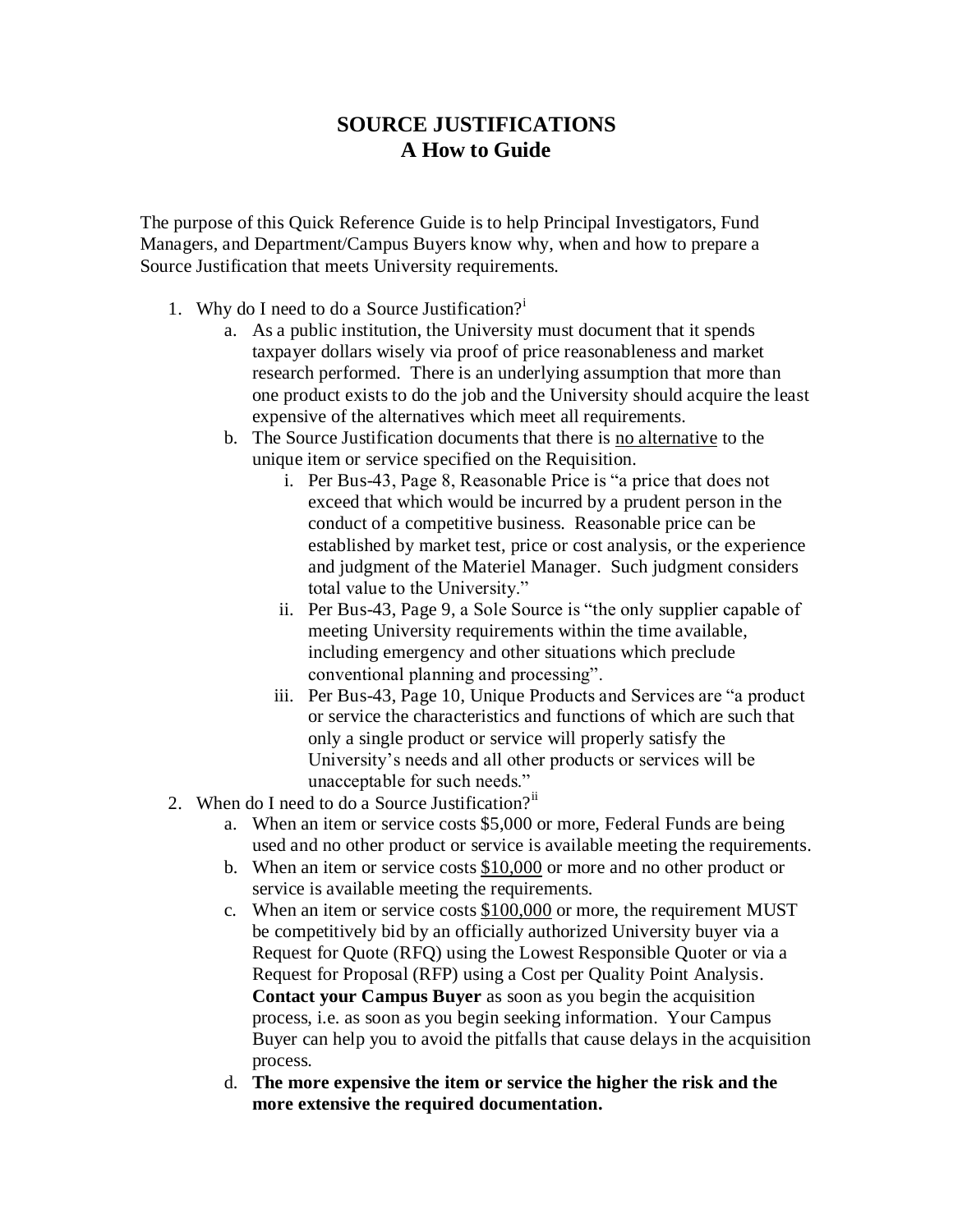## **SOURCE JUSTIFICATIONS A How to Guide**

The purpose of this Quick Reference Guide is to help Principal Investigators, Fund Managers, and Department/Campus Buyers know why, when and how to prepare a Source Justification that meets University requirements.

- 1. Why do I need to do a Source Justification? $i$ 
	- a. As a public institution, the University must document that it spends taxpayer dollars wisely via proof of price reasonableness and market research performed. There is an underlying assumption that more than one product exists to do the job and the University should acquire the least expensive of the alternatives which meet all requirements.
	- b. The Source Justification documents that there is no alternative to the unique item or service specified on the Requisition.
		- i. Per Bus-43, Page 8, Reasonable Price is "a price that does not exceed that which would be incurred by a prudent person in the conduct of a competitive business. Reasonable price can be established by market test, price or cost analysis, or the experience and judgment of the Materiel Manager. Such judgment considers total value to the University."
		- ii. Per Bus-43, Page 9, a Sole Source is "the only supplier capable of meeting University requirements within the time available, including emergency and other situations which preclude conventional planning and processing".
		- iii. Per Bus-43, Page 10, Unique Products and Services are "a product or service the characteristics and functions of which are such that only a single product or service will properly satisfy the University's needs and all other products or services will be unacceptable for such needs."
- 2. When do I need to do a Source Justification? $\ddot{a}$ 
	- a. When an item or service costs \$5,000 or more, Federal Funds are being used and no other product or service is available meeting the requirements.
	- b. When an item or service costs \$10,000 or more and no other product or service is available meeting the requirements.
	- c. When an item or service costs \$100,000 or more, the requirement MUST be competitively bid by an officially authorized University buyer via a Request for Quote (RFQ) using the Lowest Responsible Quoter or via a Request for Proposal (RFP) using a Cost per Quality Point Analysis. **Contact your Campus Buyer** as soon as you begin the acquisition process, i.e. as soon as you begin seeking information. Your Campus Buyer can help you to avoid the pitfalls that cause delays in the acquisition process.
	- d. **The more expensive the item or service the higher the risk and the more extensive the required documentation.**